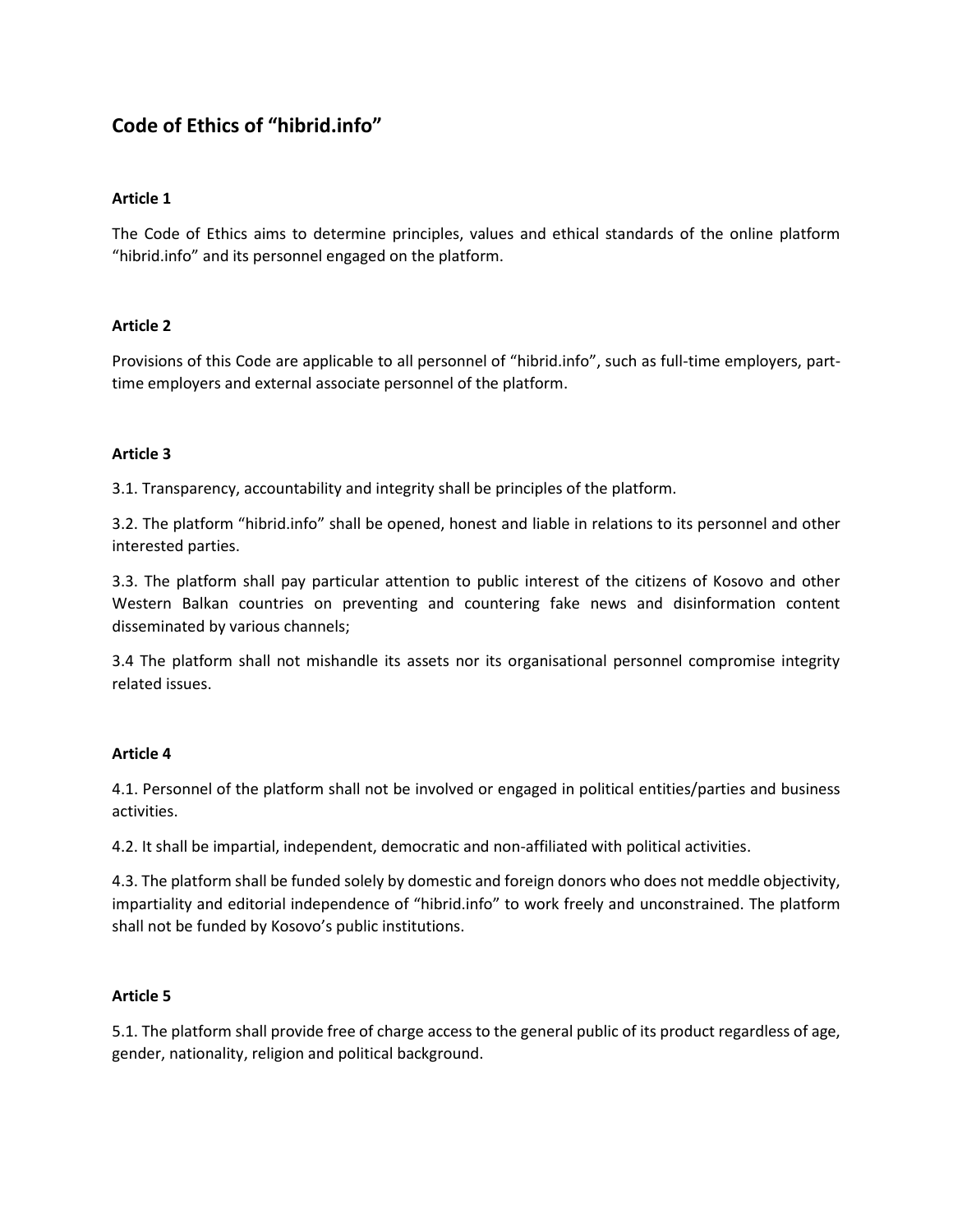# **Code of Ethics of "hibrid.info"**

## **Article 1**

The Code of Ethics aims to determine principles, values and ethical standards of the online platform "hibrid.info" and its personnel engaged on the platform.

## **Article 2**

Provisions of this Code are applicable to all personnel of "hibrid.info", such as full-time employers, parttime employers and external associate personnel of the platform.

## **Article 3**

3.1. Transparency, accountability and integrity shall be principles of the platform.

3.2. The platform "hibrid.info" shall be opened, honest and liable in relations to its personnel and other interested parties.

3.3. The platform shall pay particular attention to public interest of the citizens of Kosovo and other Western Balkan countries on preventing and countering fake news and disinformation content disseminated by various channels;

3.4 The platform shall not mishandle its assets nor its organisational personnel compromise integrity related issues.

# **Article 4**

4.1. Personnel of the platform shall not be involved or engaged in political entities/parties and business activities.

4.2. It shall be impartial, independent, democratic and non-affiliated with political activities.

4.3. The platform shall be funded solely by domestic and foreign donors who does not meddle objectivity, impartiality and editorial independence of "hibrid.info" to work freely and unconstrained. The platform shall not be funded by Kosovo's public institutions.

## **Article 5**

5.1. The platform shall provide free of charge access to the general public of its product regardless of age, gender, nationality, religion and political background.